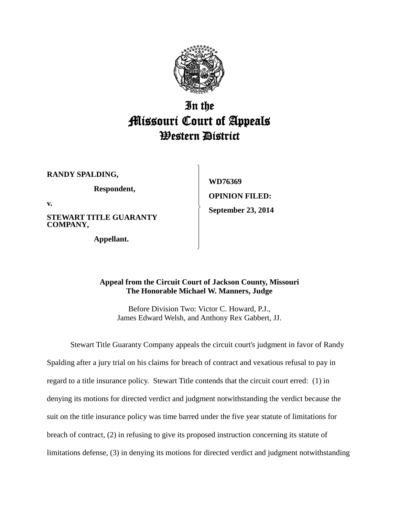

## In the Missouri Court of Appeals Western District

 $\begin{matrix} \end{matrix}$  $\overline{ }$  $\overline{ }$  $\overline{ }$  $\overline{ }$  $\left\{ \right.$  $\overline{ }$  $\overline{ }$  $\overline{ }$  $\overline{ }$ J

**RANDY SPALDING,**

**Respondent,**

**v.**

**STEWART TITLE GUARANTY COMPANY,**

**Appellant.**

**WD76369 OPINION FILED: September 23, 2014**

## **Appeal from the Circuit Court of Jackson County, Missouri The Honorable Michael W. Manners, Judge**

Before Division Two: Victor C. Howard, P.J., James Edward Welsh, and Anthony Rex Gabbert, JJ.

Stewart Title Guaranty Company appeals the circuit court's judgment in favor of Randy Spalding after a jury trial on his claims for breach of contract and vexatious refusal to pay in regard to a title insurance policy. Stewart Title contends that the circuit court erred: (1) in denying its motions for directed verdict and judgment notwithstanding the verdict because the suit on the title insurance policy was time barred under the five year statute of limitations for breach of contract, (2) in refusing to give its proposed instruction concerning its statute of limitations defense, (3) in denying its motions for directed verdict and judgment notwithstanding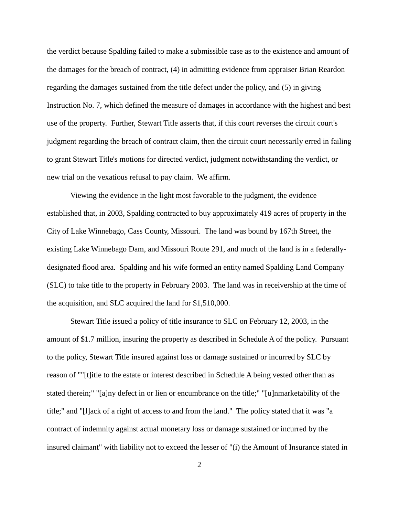the verdict because Spalding failed to make a submissible case as to the existence and amount of the damages for the breach of contract, (4) in admitting evidence from appraiser Brian Reardon regarding the damages sustained from the title defect under the policy, and (5) in giving Instruction No. 7, which defined the measure of damages in accordance with the highest and best use of the property. Further, Stewart Title asserts that, if this court reverses the circuit court's judgment regarding the breach of contract claim, then the circuit court necessarily erred in failing to grant Stewart Title's motions for directed verdict, judgment notwithstanding the verdict, or new trial on the vexatious refusal to pay claim. We affirm.

Viewing the evidence in the light most favorable to the judgment, the evidence established that, in 2003, Spalding contracted to buy approximately 419 acres of property in the City of Lake Winnebago, Cass County, Missouri. The land was bound by 167th Street, the existing Lake Winnebago Dam, and Missouri Route 291, and much of the land is in a federallydesignated flood area. Spalding and his wife formed an entity named Spalding Land Company (SLC) to take title to the property in February 2003. The land was in receivership at the time of the acquisition, and SLC acquired the land for \$1,510,000.

Stewart Title issued a policy of title insurance to SLC on February 12, 2003, in the amount of \$1.7 million, insuring the property as described in Schedule A of the policy. Pursuant to the policy, Stewart Title insured against loss or damage sustained or incurred by SLC by reason of ""[t]itle to the estate or interest described in Schedule A being vested other than as stated therein;" "[a]ny defect in or lien or encumbrance on the title;" "[u]nmarketability of the title;" and "[l]ack of a right of access to and from the land." The policy stated that it was "a contract of indemnity against actual monetary loss or damage sustained or incurred by the insured claimant" with liability not to exceed the lesser of "(i) the Amount of Insurance stated in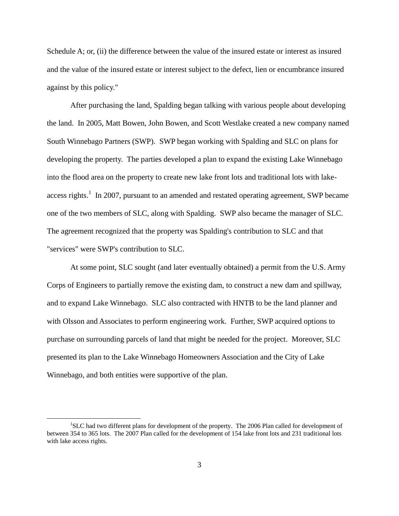Schedule A; or, (ii) the difference between the value of the insured estate or interest as insured and the value of the insured estate or interest subject to the defect, lien or encumbrance insured against by this policy."

After purchasing the land, Spalding began talking with various people about developing the land. In 2005, Matt Bowen, John Bowen, and Scott Westlake created a new company named South Winnebago Partners (SWP). SWP began working with Spalding and SLC on plans for developing the property. The parties developed a plan to expand the existing Lake Winnebago into the flood area on the property to create new lake front lots and traditional lots with lakeaccess rights.<sup>1</sup> In 2007, pursuant to an amended and restated operating agreement, SWP became one of the two members of SLC, along with Spalding. SWP also became the manager of SLC. The agreement recognized that the property was Spalding's contribution to SLC and that "services" were SWP's contribution to SLC.

At some point, SLC sought (and later eventually obtained) a permit from the U.S. Army Corps of Engineers to partially remove the existing dam, to construct a new dam and spillway, and to expand Lake Winnebago. SLC also contracted with HNTB to be the land planner and with Olsson and Associates to perform engineering work. Further, SWP acquired options to purchase on surrounding parcels of land that might be needed for the project. Moreover, SLC presented its plan to the Lake Winnebago Homeowners Association and the City of Lake Winnebago, and both entities were supportive of the plan.

<sup>&</sup>lt;sup>1</sup>SLC had two different plans for development of the property. The 2006 Plan called for development of between 354 to 365 lots. The 2007 Plan called for the development of 154 lake front lots and 231 traditional lots with lake access rights.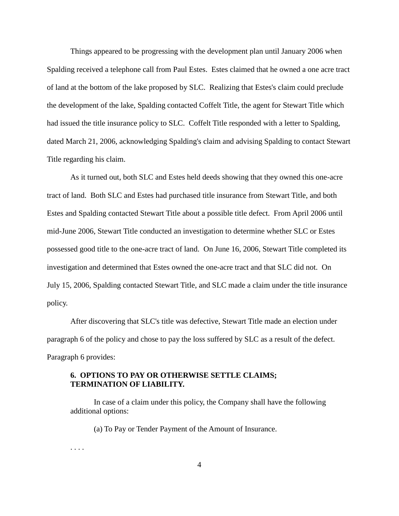Things appeared to be progressing with the development plan until January 2006 when Spalding received a telephone call from Paul Estes. Estes claimed that he owned a one acre tract of land at the bottom of the lake proposed by SLC. Realizing that Estes's claim could preclude the development of the lake, Spalding contacted Coffelt Title, the agent for Stewart Title which had issued the title insurance policy to SLC. Coffelt Title responded with a letter to Spalding, dated March 21, 2006, acknowledging Spalding's claim and advising Spalding to contact Stewart Title regarding his claim.

As it turned out, both SLC and Estes held deeds showing that they owned this one-acre tract of land. Both SLC and Estes had purchased title insurance from Stewart Title, and both Estes and Spalding contacted Stewart Title about a possible title defect. From April 2006 until mid-June 2006, Stewart Title conducted an investigation to determine whether SLC or Estes possessed good title to the one-acre tract of land. On June 16, 2006, Stewart Title completed its investigation and determined that Estes owned the one-acre tract and that SLC did not. On July 15, 2006, Spalding contacted Stewart Title, and SLC made a claim under the title insurance policy.

After discovering that SLC's title was defective, Stewart Title made an election under paragraph 6 of the policy and chose to pay the loss suffered by SLC as a result of the defect. Paragraph 6 provides:

## **6. OPTIONS TO PAY OR OTHERWISE SETTLE CLAIMS; TERMINATION OF LIABILITY.**

In case of a claim under this policy, the Company shall have the following additional options:

(a) To Pay or Tender Payment of the Amount of Insurance.

. . . .

4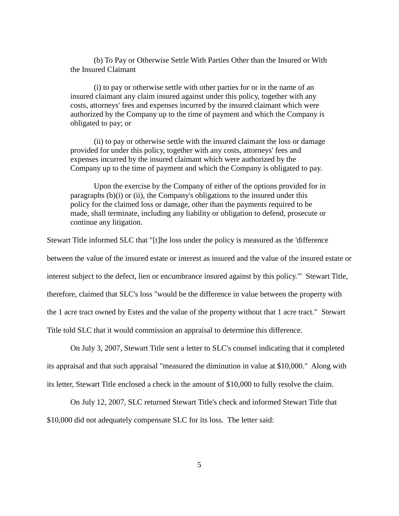(b) To Pay or Otherwise Settle With Parties Other than the Insured or With the Insured Claimant

(i) to pay or otherwise settle with other parties for or in the name of an insured claimant any claim insured against under this policy, together with any costs, attorneys' fees and expenses incurred by the insured claimant which were authorized by the Company up to the time of payment and which the Company is obligated to pay; or

(ii) to pay or otherwise settle with the insured claimant the loss or damage provided for under this policy, together with any costs, attorneys' fees and expenses incurred by the insured claimant which were authorized by the Company up to the time of payment and which the Company is obligated to pay.

Upon the exercise by the Company of either of the options provided for in paragraphs  $(b)(i)$  or  $(ii)$ , the Company's obligations to the insured under this policy for the claimed loss or damage, other than the payments required to be made, shall terminate, including any liability or obligation to defend, prosecute or continue any litigation.

Stewart Title informed SLC that "[t]he loss under the policy is measured as the 'difference between the value of the insured estate or interest as insured and the value of the insured estate or interest subject to the defect, lien or encumbrance insured against by this policy.'" Stewart Title, therefore, claimed that SLC's loss "would be the difference in value between the property with the 1 acre tract owned by Estes and the value of the property without that 1 acre tract." Stewart Title told SLC that it would commission an appraisal to determine this difference.

On July 3, 2007, Stewart Title sent a letter to SLC's counsel indicating that it completed its appraisal and that such appraisal "measured the diminution in value at \$10,000." Along with its letter, Stewart Title enclosed a check in the amount of \$10,000 to fully resolve the claim.

On July 12, 2007, SLC returned Stewart Title's check and informed Stewart Title that

\$10,000 did not adequately compensate SLC for its loss. The letter said: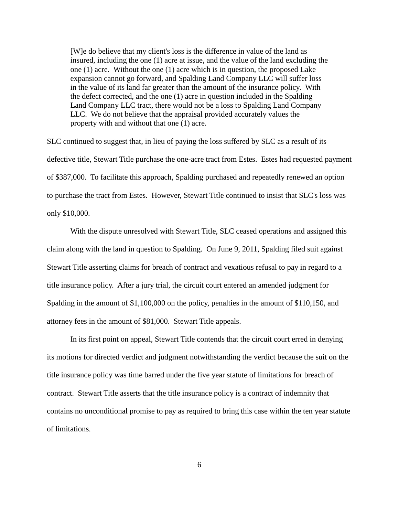[W]e do believe that my client's loss is the difference in value of the land as insured, including the one (1) acre at issue, and the value of the land excluding the one (1) acre. Without the one (1) acre which is in question, the proposed Lake expansion cannot go forward, and Spalding Land Company LLC will suffer loss in the value of its land far greater than the amount of the insurance policy. With the defect corrected, and the one (1) acre in question included in the Spalding Land Company LLC tract, there would not be a loss to Spalding Land Company LLC. We do not believe that the appraisal provided accurately values the property with and without that one (1) acre.

SLC continued to suggest that, in lieu of paying the loss suffered by SLC as a result of its defective title, Stewart Title purchase the one-acre tract from Estes. Estes had requested payment of \$387,000. To facilitate this approach, Spalding purchased and repeatedly renewed an option to purchase the tract from Estes. However, Stewart Title continued to insist that SLC's loss was only \$10,000.

With the dispute unresolved with Stewart Title, SLC ceased operations and assigned this claim along with the land in question to Spalding. On June 9, 2011, Spalding filed suit against Stewart Title asserting claims for breach of contract and vexatious refusal to pay in regard to a title insurance policy. After a jury trial, the circuit court entered an amended judgment for Spalding in the amount of \$1,100,000 on the policy, penalties in the amount of \$110,150, and attorney fees in the amount of \$81,000. Stewart Title appeals.

In its first point on appeal, Stewart Title contends that the circuit court erred in denying its motions for directed verdict and judgment notwithstanding the verdict because the suit on the title insurance policy was time barred under the five year statute of limitations for breach of contract. Stewart Title asserts that the title insurance policy is a contract of indemnity that contains no unconditional promise to pay as required to bring this case within the ten year statute of limitations.

6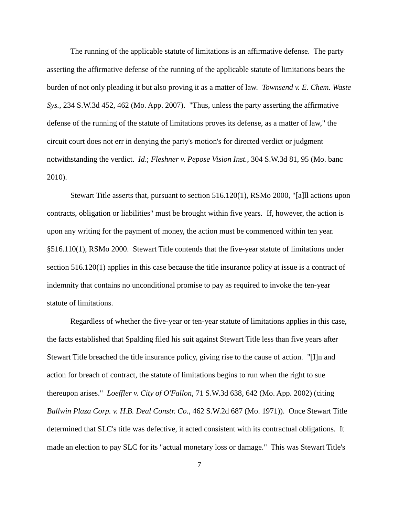The running of the applicable statute of limitations is an affirmative defense. The party asserting the affirmative defense of the running of the applicable statute of limitations bears the burden of not only pleading it but also proving it as a matter of law. *Townsend v. E. Chem. Waste Sys.*, 234 S.W.3d 452, 462 (Mo. App. 2007). "Thus, unless the party asserting the affirmative defense of the running of the statute of limitations proves its defense, as a matter of law," the circuit court does not err in denying the party's motion's for directed verdict or judgment notwithstanding the verdict. *Id*.; *Fleshner v. Pepose Vision Inst.*, 304 S.W.3d 81, 95 (Mo. banc 2010).

Stewart Title asserts that, pursuant to section 516.120(1), RSMo 2000, "[a]ll actions upon contracts, obligation or liabilities" must be brought within five years. If, however, the action is upon any writing for the payment of money, the action must be commenced within ten year. §516.110(1), RSMo 2000. Stewart Title contends that the five-year statute of limitations under section 516.120(1) applies in this case because the title insurance policy at issue is a contract of indemnity that contains no unconditional promise to pay as required to invoke the ten-year statute of limitations.

Regardless of whether the five-year or ten-year statute of limitations applies in this case, the facts established that Spalding filed his suit against Stewart Title less than five years after Stewart Title breached the title insurance policy, giving rise to the cause of action. "[I]n and action for breach of contract, the statute of limitations begins to run when the right to sue thereupon arises." *Loeffler v. City of O'Fallon*, 71 S.W.3d 638, 642 (Mo. App. 2002) (citing *Ballwin Plaza Corp. v. H.B. Deal Constr. Co.*, 462 S.W.2d 687 (Mo. 1971)). Once Stewart Title determined that SLC's title was defective, it acted consistent with its contractual obligations. It made an election to pay SLC for its "actual monetary loss or damage." This was Stewart Title's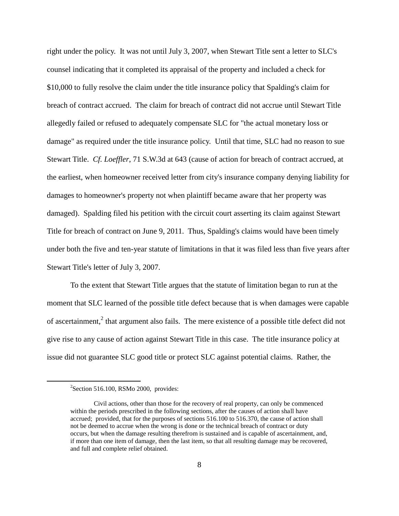right under the policy. It was not until July 3, 2007, when Stewart Title sent a letter to SLC's counsel indicating that it completed its appraisal of the property and included a check for \$10,000 to fully resolve the claim under the title insurance policy that Spalding's claim for breach of contract accrued. The claim for breach of contract did not accrue until Stewart Title allegedly failed or refused to adequately compensate SLC for "the actual monetary loss or damage" as required under the title insurance policy. Until that time, SLC had no reason to sue Stewart Title. *Cf. Loeffler*, 71 S.W.3d at 643 (cause of action for breach of contract accrued, at the earliest, when homeowner received letter from city's insurance company denying liability for damages to homeowner's property not when plaintiff became aware that her property was damaged). Spalding filed his petition with the circuit court asserting its claim against Stewart Title for breach of contract on June 9, 2011. Thus, Spalding's claims would have been timely under both the five and ten-year statute of limitations in that it was filed less than five years after Stewart Title's letter of July 3, 2007.

To the extent that Stewart Title argues that the statute of limitation began to run at the moment that SLC learned of the possible title defect because that is when damages were capable of ascertainment, $<sup>2</sup>$  that argument also fails. The mere existence of a possible title defect did not</sup> give rise to any cause of action against Stewart Title in this case. The title insurance policy at issue did not guarantee SLC good title or protect SLC against potential claims. Rather, the

 $2$ Section 516.100, RSMo 2000, provides:

Civil actions, other than those for the recovery of real property, can only be commenced within the periods prescribed in the following sections, after the causes of action shall have accrued; provided, that for the purposes of sections 516.100 to 516.370, the cause of action shall not be deemed to accrue when the wrong is done or the technical breach of contract or duty occurs, but when the damage resulting therefrom is sustained and is capable of ascertainment, and, if more than one item of damage, then the last item, so that all resulting damage may be recovered, and full and complete relief obtained.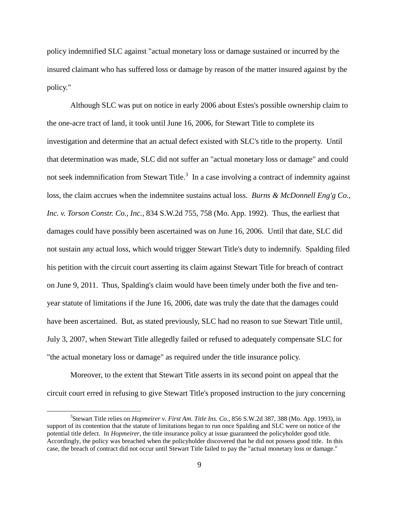policy indemnified SLC against "actual monetary loss or damage sustained or incurred by the insured claimant who has suffered loss or damage by reason of the matter insured against by the policy."

Although SLC was put on notice in early 2006 about Estes's possible ownership claim to the one-acre tract of land, it took until June 16, 2006, for Stewart Title to complete its investigation and determine that an actual defect existed with SLC's title to the property. Until that determination was made, SLC did not suffer an "actual monetary loss or damage" and could not seek indemnification from Stewart Title.<sup>3</sup> In a case involving a contract of indemnity against loss, the claim accrues when the indemnitee sustains actual loss. *Burns & McDonnell Eng'g Co., Inc. v. Torson Constr. Co., Inc.*, 834 S.W.2d 755, 758 (Mo. App. 1992). Thus, the earliest that damages could have possibly been ascertained was on June 16, 2006. Until that date, SLC did not sustain any actual loss, which would trigger Stewart Title's duty to indemnify. Spalding filed his petition with the circuit court asserting its claim against Stewart Title for breach of contract on June 9, 2011. Thus, Spalding's claim would have been timely under both the five and tenyear statute of limitations if the June 16, 2006, date was truly the date that the damages could have been ascertained. But, as stated previously, SLC had no reason to sue Stewart Title until, July 3, 2007, when Stewart Title allegedly failed or refused to adequately compensate SLC for "the actual monetary loss or damage" as required under the title insurance policy.

Moreover, to the extent that Stewart Title asserts in its second point on appeal that the circuit court erred in refusing to give Stewart Title's proposed instruction to the jury concerning

<sup>3</sup> Stewart Title relies on *Hopmeirer v. First Am. Title Ins. Co.*, 856 S.W.2d 387, 388 (Mo. App. 1993), in support of its contention that the statute of limitations began to run once Spalding and SLC were on notice of the potential title defect. In *Hopmeirer*, the title insurance policy at issue guaranteed the policyholder good title. Accordingly, the policy was breached when the policyholder discovered that he did not possess good title. In this case, the breach of contract did not occur until Stewart Title failed to pay the "actual monetary loss or damage."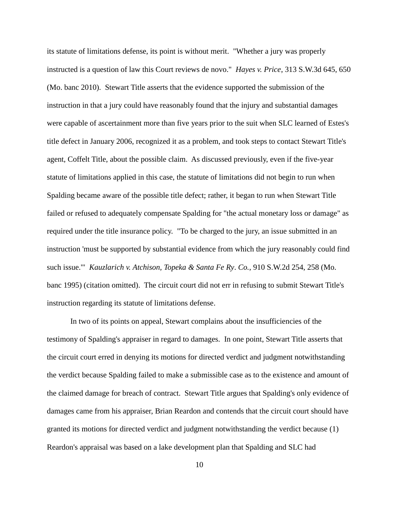its statute of limitations defense, its point is without merit. "Whether a jury was properly instructed is a question of law this Court reviews de novo." *Hayes v. Price*, 313 S.W.3d 645, 650 (Mo. banc 2010). Stewart Title asserts that the evidence supported the submission of the instruction in that a jury could have reasonably found that the injury and substantial damages were capable of ascertainment more than five years prior to the suit when SLC learned of Estes's title defect in January 2006, recognized it as a problem, and took steps to contact Stewart Title's agent, Coffelt Title, about the possible claim. As discussed previously, even if the five-year statute of limitations applied in this case, the statute of limitations did not begin to run when Spalding became aware of the possible title defect; rather, it began to run when Stewart Title failed or refused to adequately compensate Spalding for "the actual monetary loss or damage" as required under the title insurance policy. "To be charged to the jury, an issue submitted in an instruction 'must be supported by substantial evidence from which the jury reasonably could find such issue.'" *Kauzlarich v. Atchison, Topeka & Santa Fe Ry*. *Co.*, 910 S.W.2d 254, 258 (Mo. banc 1995) (citation omitted). The circuit court did not err in refusing to submit Stewart Title's instruction regarding its statute of limitations defense.

In two of its points on appeal, Stewart complains about the insufficiencies of the testimony of Spalding's appraiser in regard to damages. In one point, Stewart Title asserts that the circuit court erred in denying its motions for directed verdict and judgment notwithstanding the verdict because Spalding failed to make a submissible case as to the existence and amount of the claimed damage for breach of contract. Stewart Title argues that Spalding's only evidence of damages came from his appraiser, Brian Reardon and contends that the circuit court should have granted its motions for directed verdict and judgment notwithstanding the verdict because (1) Reardon's appraisal was based on a lake development plan that Spalding and SLC had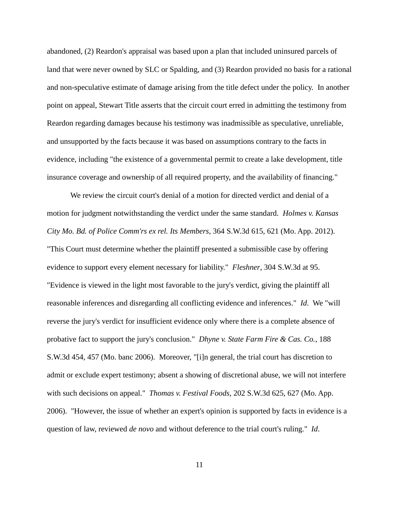abandoned, (2) Reardon's appraisal was based upon a plan that included uninsured parcels of land that were never owned by SLC or Spalding, and (3) Reardon provided no basis for a rational and non-speculative estimate of damage arising from the title defect under the policy. In another point on appeal, Stewart Title asserts that the circuit court erred in admitting the testimony from Reardon regarding damages because his testimony was inadmissible as speculative, unreliable, and unsupported by the facts because it was based on assumptions contrary to the facts in evidence, including "the existence of a governmental permit to create a lake development, title insurance coverage and ownership of all required property, and the availability of financing."

We review the circuit court's denial of a motion for directed verdict and denial of a motion for judgment notwithstanding the verdict under the same standard. *Holmes v. Kansas City Mo. Bd. of Police Comm'rs ex rel. Its Members*, 364 S.W.3d 615, 621 (Mo. App. 2012). "This Court must determine whether the plaintiff presented a submissible case by offering evidence to support every element necessary for liability." *Fleshner*, 304 S.W.3d at 95. "Evidence is viewed in the light most favorable to the jury's verdict, giving the plaintiff all reasonable inferences and disregarding all conflicting evidence and inferences." *Id*. We "will reverse the jury's verdict for insufficient evidence only where there is a complete absence of probative fact to support the jury's conclusion." *Dhyne v. State Farm Fire & Cas. Co.*, 188 S.W.3d 454, 457 (Mo. banc 2006). Moreover, "[i]n general, the trial court has discretion to admit or exclude expert testimony; absent a showing of discretional abuse, we will not interfere with such decisions on appeal." *Thomas v. Festival Foods*, 202 S.W.3d 625, 627 (Mo. App. 2006). "However, the issue of whether an expert's opinion is supported by facts in evidence is a question of law, reviewed *de novo* and without deference to the trial court's ruling." *Id*.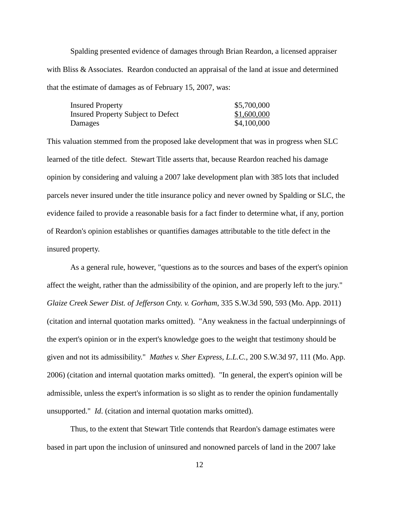Spalding presented evidence of damages through Brian Reardon, a licensed appraiser with Bliss & Associates. Reardon conducted an appraisal of the land at issue and determined that the estimate of damages as of February 15, 2007, was:

| <b>Insured Property</b>                   | \$5,700,000 |
|-------------------------------------------|-------------|
| <b>Insured Property Subject to Defect</b> | \$1,600,000 |
| Damages                                   | \$4,100,000 |

This valuation stemmed from the proposed lake development that was in progress when SLC learned of the title defect. Stewart Title asserts that, because Reardon reached his damage opinion by considering and valuing a 2007 lake development plan with 385 lots that included parcels never insured under the title insurance policy and never owned by Spalding or SLC, the evidence failed to provide a reasonable basis for a fact finder to determine what, if any, portion of Reardon's opinion establishes or quantifies damages attributable to the title defect in the insured property.

As a general rule, however, "questions as to the sources and bases of the expert's opinion affect the weight, rather than the admissibility of the opinion, and are properly left to the jury." *Glaize Creek Sewer Dist. of Jefferson Cnty. v. Gorham*, 335 S.W.3d 590, 593 (Mo. App. 2011) (citation and internal quotation marks omitted). "Any weakness in the factual underpinnings of the expert's opinion or in the expert's knowledge goes to the weight that testimony should be given and not its admissibility." *Mathes v. Sher Express, L.L.C.*, 200 S.W.3d 97, 111 (Mo. App. 2006) (citation and internal quotation marks omitted). "In general, the expert's opinion will be admissible, unless the expert's information is so slight as to render the opinion fundamentally unsupported." *Id*. (citation and internal quotation marks omitted).

Thus, to the extent that Stewart Title contends that Reardon's damage estimates were based in part upon the inclusion of uninsured and nonowned parcels of land in the 2007 lake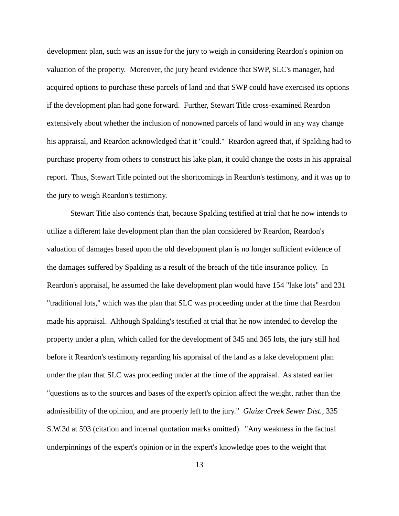development plan, such was an issue for the jury to weigh in considering Reardon's opinion on valuation of the property. Moreover, the jury heard evidence that SWP, SLC's manager, had acquired options to purchase these parcels of land and that SWP could have exercised its options if the development plan had gone forward. Further, Stewart Title cross-examined Reardon extensively about whether the inclusion of nonowned parcels of land would in any way change his appraisal, and Reardon acknowledged that it "could." Reardon agreed that, if Spalding had to purchase property from others to construct his lake plan, it could change the costs in his appraisal report. Thus, Stewart Title pointed out the shortcomings in Reardon's testimony, and it was up to the jury to weigh Reardon's testimony.

Stewart Title also contends that, because Spalding testified at trial that he now intends to utilize a different lake development plan than the plan considered by Reardon, Reardon's valuation of damages based upon the old development plan is no longer sufficient evidence of the damages suffered by Spalding as a result of the breach of the title insurance policy. In Reardon's appraisal, he assumed the lake development plan would have 154 "lake lots" and 231 "traditional lots," which was the plan that SLC was proceeding under at the time that Reardon made his appraisal. Although Spalding's testified at trial that he now intended to develop the property under a plan, which called for the development of 345 and 365 lots, the jury still had before it Reardon's testimony regarding his appraisal of the land as a lake development plan under the plan that SLC was proceeding under at the time of the appraisal. As stated earlier "questions as to the sources and bases of the expert's opinion affect the weight, rather than the admissibility of the opinion, and are properly left to the jury." *Glaize Creek Sewer Dist.,* 335 S.W.3d at 593 (citation and internal quotation marks omitted). "Any weakness in the factual underpinnings of the expert's opinion or in the expert's knowledge goes to the weight that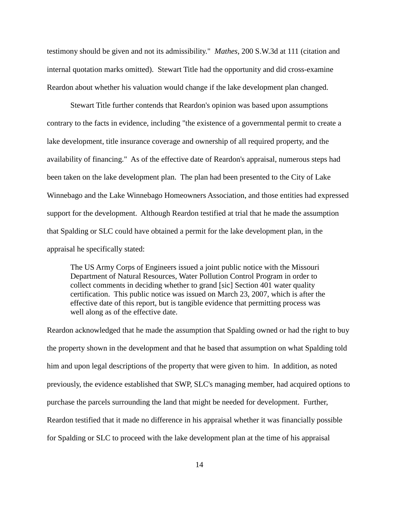testimony should be given and not its admissibility." *Mathes*, 200 S.W.3d at 111 (citation and internal quotation marks omitted). Stewart Title had the opportunity and did cross-examine Reardon about whether his valuation would change if the lake development plan changed.

Stewart Title further contends that Reardon's opinion was based upon assumptions contrary to the facts in evidence, including "the existence of a governmental permit to create a lake development, title insurance coverage and ownership of all required property, and the availability of financing." As of the effective date of Reardon's appraisal, numerous steps had been taken on the lake development plan. The plan had been presented to the City of Lake Winnebago and the Lake Winnebago Homeowners Association, and those entities had expressed support for the development. Although Reardon testified at trial that he made the assumption that Spalding or SLC could have obtained a permit for the lake development plan, in the appraisal he specifically stated:

The US Army Corps of Engineers issued a joint public notice with the Missouri Department of Natural Resources, Water Pollution Control Program in order to collect comments in deciding whether to grand [sic] Section 401 water quality certification. This public notice was issued on March 23, 2007, which is after the effective date of this report, but is tangible evidence that permitting process was well along as of the effective date.

Reardon acknowledged that he made the assumption that Spalding owned or had the right to buy the property shown in the development and that he based that assumption on what Spalding told him and upon legal descriptions of the property that were given to him. In addition, as noted previously, the evidence established that SWP, SLC's managing member, had acquired options to purchase the parcels surrounding the land that might be needed for development. Further, Reardon testified that it made no difference in his appraisal whether it was financially possible for Spalding or SLC to proceed with the lake development plan at the time of his appraisal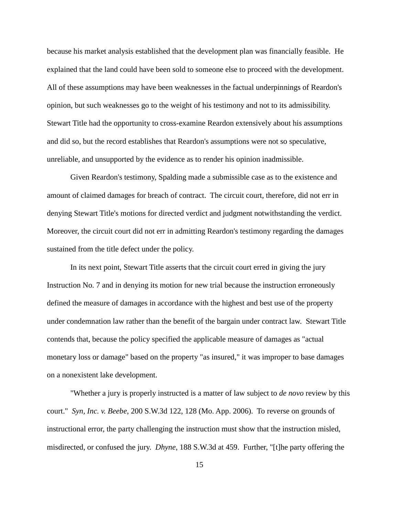because his market analysis established that the development plan was financially feasible. He explained that the land could have been sold to someone else to proceed with the development. All of these assumptions may have been weaknesses in the factual underpinnings of Reardon's opinion, but such weaknesses go to the weight of his testimony and not to its admissibility. Stewart Title had the opportunity to cross-examine Reardon extensively about his assumptions and did so, but the record establishes that Reardon's assumptions were not so speculative, unreliable, and unsupported by the evidence as to render his opinion inadmissible.

Given Reardon's testimony, Spalding made a submissible case as to the existence and amount of claimed damages for breach of contract. The circuit court, therefore, did not err in denying Stewart Title's motions for directed verdict and judgment notwithstanding the verdict. Moreover, the circuit court did not err in admitting Reardon's testimony regarding the damages sustained from the title defect under the policy.

In its next point, Stewart Title asserts that the circuit court erred in giving the jury Instruction No. 7 and in denying its motion for new trial because the instruction erroneously defined the measure of damages in accordance with the highest and best use of the property under condemnation law rather than the benefit of the bargain under contract law. Stewart Title contends that, because the policy specified the applicable measure of damages as "actual monetary loss or damage" based on the property "as insured," it was improper to base damages on a nonexistent lake development.

"Whether a jury is properly instructed is a matter of law subject to *de novo* review by this court." *Syn, Inc. v. Beebe*, 200 S.W.3d 122, 128 (Mo. App. 2006). To reverse on grounds of instructional error, the party challenging the instruction must show that the instruction misled, misdirected, or confused the jury. *Dhyne*, 188 S.W.3d at 459. Further, "[t]he party offering the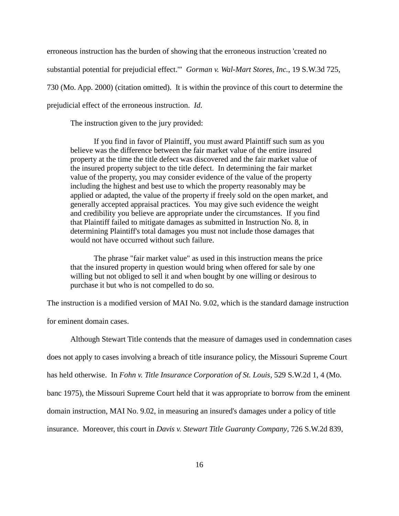erroneous instruction has the burden of showing that the erroneous instruction 'created no substantial potential for prejudicial effect.'" *Gorman v. Wal-Mart Stores, Inc.*, 19 S.W.3d 725, 730 (Mo. App. 2000) (citation omitted). It is within the province of this court to determine the prejudicial effect of the erroneous instruction. *Id*.

The instruction given to the jury provided:

If you find in favor of Plaintiff, you must award Plaintiff such sum as you believe was the difference between the fair market value of the entire insured property at the time the title defect was discovered and the fair market value of the insured property subject to the title defect. In determining the fair market value of the property, you may consider evidence of the value of the property including the highest and best use to which the property reasonably may be applied or adapted, the value of the property if freely sold on the open market, and generally accepted appraisal practices. You may give such evidence the weight and credibility you believe are appropriate under the circumstances. If you find that Plaintiff failed to mitigate damages as submitted in Instruction No. 8, in determining Plaintiff's total damages you must not include those damages that would not have occurred without such failure.

The phrase "fair market value" as used in this instruction means the price that the insured property in question would bring when offered for sale by one willing but not obliged to sell it and when bought by one willing or desirous to purchase it but who is not compelled to do so.

The instruction is a modified version of MAI No. 9.02, which is the standard damage instruction

for eminent domain cases.

Although Stewart Title contends that the measure of damages used in condemnation cases does not apply to cases involving a breach of title insurance policy, the Missouri Supreme Court has held otherwise. In *Fohn v. Title Insurance Corporation of St. Louis*, 529 S.W.2d 1, 4 (Mo. banc 1975), the Missouri Supreme Court held that it was appropriate to borrow from the eminent domain instruction, MAI No. 9.02, in measuring an insured's damages under a policy of title insurance. Moreover, this court in *Davis v. Stewart Title Guaranty Company*, 726 S.W.2d 839,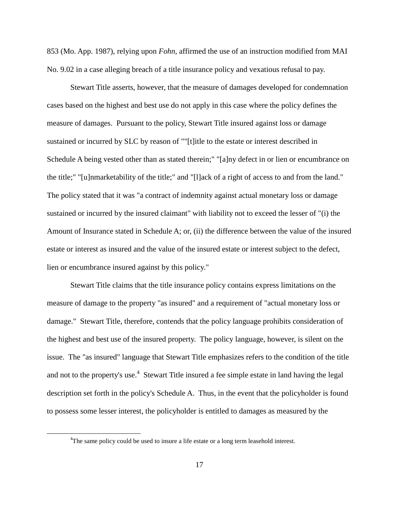853 (Mo. App. 1987), relying upon *Fohn*, affirmed the use of an instruction modified from MAI No. 9.02 in a case alleging breach of a title insurance policy and vexatious refusal to pay.

Stewart Title asserts, however, that the measure of damages developed for condemnation cases based on the highest and best use do not apply in this case where the policy defines the measure of damages. Pursuant to the policy, Stewart Title insured against loss or damage sustained or incurred by SLC by reason of ""[t]itle to the estate or interest described in Schedule A being vested other than as stated therein;" "[a]ny defect in or lien or encumbrance on the title;" "[u]nmarketability of the title;" and "[l]ack of a right of access to and from the land." The policy stated that it was "a contract of indemnity against actual monetary loss or damage sustained or incurred by the insured claimant" with liability not to exceed the lesser of "(i) the Amount of Insurance stated in Schedule A; or, (ii) the difference between the value of the insured estate or interest as insured and the value of the insured estate or interest subject to the defect, lien or encumbrance insured against by this policy."

Stewart Title claims that the title insurance policy contains express limitations on the measure of damage to the property "as insured" and a requirement of "actual monetary loss or damage." Stewart Title, therefore, contends that the policy language prohibits consideration of the highest and best use of the insured property. The policy language, however, is silent on the issue. The "as insured" language that Stewart Title emphasizes refers to the condition of the title and not to the property's use.<sup>4</sup> Stewart Title insured a fee simple estate in land having the legal description set forth in the policy's Schedule A. Thus, in the event that the policyholder is found to possess some lesser interest, the policyholder is entitled to damages as measured by the

<sup>&</sup>lt;sup>4</sup>The same policy could be used to insure a life estate or a long term leasehold interest.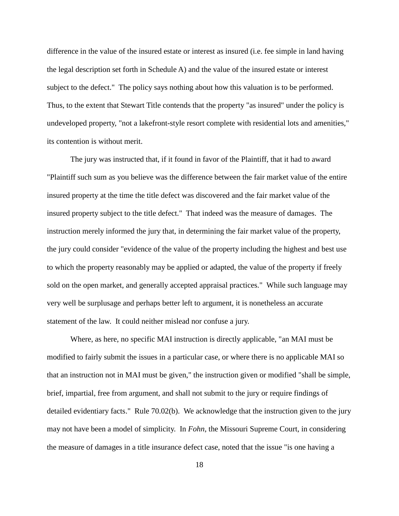difference in the value of the insured estate or interest as insured (i.e. fee simple in land having the legal description set forth in Schedule A) and the value of the insured estate or interest subject to the defect." The policy says nothing about how this valuation is to be performed. Thus, to the extent that Stewart Title contends that the property "as insured" under the policy is undeveloped property, "not a lakefront-style resort complete with residential lots and amenities," its contention is without merit.

The jury was instructed that, if it found in favor of the Plaintiff, that it had to award "Plaintiff such sum as you believe was the difference between the fair market value of the entire insured property at the time the title defect was discovered and the fair market value of the insured property subject to the title defect." That indeed was the measure of damages. The instruction merely informed the jury that, in determining the fair market value of the property, the jury could consider "evidence of the value of the property including the highest and best use to which the property reasonably may be applied or adapted, the value of the property if freely sold on the open market, and generally accepted appraisal practices." While such language may very well be surplusage and perhaps better left to argument, it is nonetheless an accurate statement of the law. It could neither mislead nor confuse a jury.

Where, as here, no specific MAI instruction is directly applicable, "an MAI must be modified to fairly submit the issues in a particular case, or where there is no applicable MAI so that an instruction not in MAI must be given," the instruction given or modified "shall be simple, brief, impartial, free from argument, and shall not submit to the jury or require findings of detailed evidentiary facts." Rule 70.02(b). We acknowledge that the instruction given to the jury may not have been a model of simplicity. In *Fohn*, the Missouri Supreme Court, in considering the measure of damages in a title insurance defect case, noted that the issue "is one having a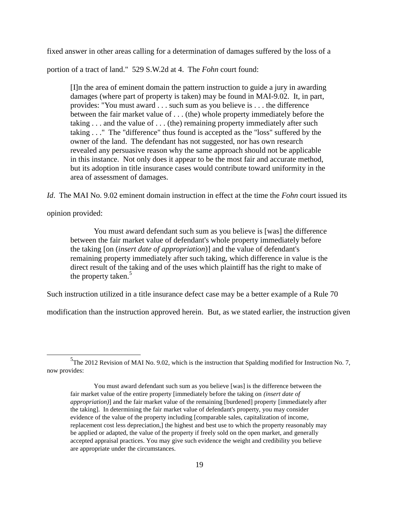fixed answer in other areas calling for a determination of damages suffered by the loss of a

portion of a tract of land." 529 S.W.2d at 4. The *Fohn* court found:

[I]n the area of eminent domain the pattern instruction to guide a jury in awarding damages (where part of property is taken) may be found in MAI-9.02. It, in part, provides: "You must award . . . such sum as you believe is . . . the difference between the fair market value of . . . (the) whole property immediately before the taking . . . and the value of . . . (the) remaining property immediately after such taking . . ." The "difference" thus found is accepted as the "loss" suffered by the owner of the land. The defendant has not suggested, nor has own research revealed any persuasive reason why the same approach should not be applicable in this instance. Not only does it appear to be the most fair and accurate method, but its adoption in title insurance cases would contribute toward uniformity in the area of assessment of damages.

*Id*. The MAI No. 9.02 eminent domain instruction in effect at the time the *Fohn* court issued its

opinion provided:

 $\overline{a}$ 

You must award defendant such sum as you believe is [was] the difference between the fair market value of defendant's whole property immediately before the taking [on (*insert date of appropriation*)] and the value of defendant's remaining property immediately after such taking, which difference in value is the direct result of the taking and of the uses which plaintiff has the right to make of the property taken.<sup>5</sup>

Such instruction utilized in a title insurance defect case may be a better example of a Rule 70

modification than the instruction approved herein. But, as we stated earlier, the instruction given

<sup>&</sup>lt;sup>5</sup>The 2012 Revision of MAI No. 9.02, which is the instruction that Spalding modified for Instruction No. 7, now provides:

You must award defendant such sum as you believe [was] is the difference between the fair market value of the entire property [immediately before the taking on *(insert date of appropriation)*] and the fair market value of the remaining [burdened] property [immediately after the taking]. In determining the fair market value of defendant's property, you may consider evidence of the value of the property including [comparable sales, capitalization of income, replacement cost less depreciation,] the highest and best use to which the property reasonably may be applied or adapted, the value of the property if freely sold on the open market, and generally accepted appraisal practices. You may give such evidence the weight and credibility you believe are appropriate under the circumstances.